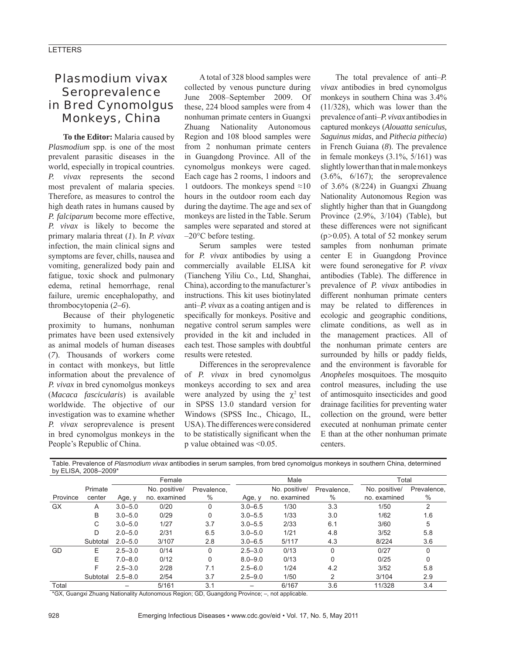# *Plasmodium vivax* Seroprevalence in Bred Cynomolgus Monkeys, China

**To the Editor:** Malaria caused by *Plasmodium* spp. is one of the most prevalent parasitic diseases in the world, especially in tropical countries. *P. vivax* represents the second most prevalent of malaria species. Therefore, as measures to control the high death rates in humans caused by *P. falciparum* become more effective, *P. vivax* is likely to become the primary malaria threat (*1*). In *P. vivax* infection, the main clinical signs and symptoms are fever, chills, nausea and vomiting, generalized body pain and fatigue, toxic shock and pulmonary edema, retinal hemorrhage, renal failure, uremic encephalopathy, and thrombocytopenia (*2–6*).

Because of their phylogenetic proximity to humans, nonhuman primates have been used extensively as animal models of human diseases (*7*). Thousands of workers come in contact with monkeys, but little information about the prevalence of *P. vivax* in bred cynomolgus monkeys (*Macaca fascicularis*) is available worldwide. The objective of our investigation was to examine whether *P. vivax* seroprevalence is present in bred cynomolgus monkeys in the People's Republic of China.

A total of 328 blood samples were collected by venous puncture during June 2008–September 2009. Of these, 224 blood samples were from 4 nonhuman primate centers in Guangxi Zhuang Nationality Autonomous Region and 108 blood samples were from 2 nonhuman primate centers in Guangdong Province. All of the cynomolgus monkeys were caged. Each cage has 2 rooms, 1 indoors and 1 outdoors. The monkeys spend ≈10 hours in the outdoor room each day during the daytime. The age and sex of monkeys are listed in the Table. Serum samples were separated and stored at  $-20$ °C before testing.

Serum samples were tested for *P. vivax* antibodies by using a commercially available ELISA kit (Tiancheng Yiliu Co., Ltd, Shanghai, China), according to the manufacturer's instructions. This kit uses biotinylated anti–*P. vivax* as a coating antigen and is specifically for monkeys. Positive and negative control serum samples were provided in the kit and included in each test. Those samples with doubtful results were retested.

Differences in the seroprevalence of *P. vivax* in bred cynomolgus monkeys according to sex and area were analyzed by using the  $\chi^2$  test in SPSS 13.0 standard version for Windows (SPSS Inc., Chicago, IL, USA). The differences were considered to be statistically significant when the p value obtained was <0.05.

Table. Prevalence of *Plasmodium vivax* antibodies in serum samples, from bred cynomolgus monkeys in southern China, determined

The total prevalence of anti–*P. vivax* antibodies in bred cynomolgus monkeys in southern China was 3.4% (11/328), which was lower than the prevalence of anti–*P. vivax* antibodies in captured monkeys (*Alouatta seniculus, Saguinus midas,* and *Pithecia pithecia*) in French Guiana (*8*). The prevalence in female monkeys (3.1%, 5/161) was slightly lower than that in male monkeys  $(3.6\% \, 6/167)$ ; the seroprevalence of 3.6% (8/224) in Guangxi Zhuang Nationality Autonomous Region was slightly higher than that in Guangdong Province (2.9%, 3/104) (Table), but these differences were not significant (p*>*0.05). A total of 52 monkey serum samples from nonhuman primate center E in Guangdong Province were found seronegative for *P. vivax* antibodies (Table). The difference in prevalence of *P. vivax* antibodies in different nonhuman primate centers may be related to differences in ecologic and geographic conditions, climate conditions, as well as in the management practices. All of the nonhuman primate centers are surrounded by hills or paddy fields, and the environment is favorable for *Anopheles* mosquitoes. The mosquito control measures, including the use of antimosquito insecticides and good drainage facilities for preventing water collection on the ground, were better executed at nonhuman primate center E than at the other nonhuman primate centers.

| by ELISA, 2008-2009* |          |             |               |             |             |               |             |               |             |
|----------------------|----------|-------------|---------------|-------------|-------------|---------------|-------------|---------------|-------------|
|                      |          | Female      |               |             | Male        |               |             | Total         |             |
|                      | Primate  |             | No. positive/ | Prevalence, |             | No. positive/ | Prevalence. | No. positive/ | Prevalence, |
| Province             | center   | Age, y      | no. examined  | $\%$        | Age, y      | no. examined  | %           | no. examined  | %           |
| <b>GX</b>            | A        | $3.0 - 5.0$ | 0/20          | 0           | $3.0 - 6.5$ | 1/30          | 3.3         | 1/50          | 2           |
|                      | B        | $3.0 - 5.0$ | 0/29          | 0           | $3.0 - 5.5$ | 1/33          | 3.0         | 1/62          | 1.6         |
|                      | C        | $3.0 - 5.0$ | 1/27          | 3.7         | $3.0 - 5.5$ | 2/33          | 6.1         | 3/60          | 5           |
|                      | D        | $2.0 - 5.0$ | 2/31          | 6.5         | $3.0 - 5.0$ | 1/21          | 4.8         | 3/52          | 5.8         |
|                      | Subtotal | $2.0 - 5.0$ | 3/107         | 2.8         | $3.0 - 6.5$ | 5/117         | 4.3         | 8/224         | 3.6         |
| GD                   | E        | $2.5 - 3.0$ | 0/14          | $\Omega$    | $2.5 - 3.0$ | 0/13          | $\Omega$    | 0/27          | $\Omega$    |
|                      | E.       | $7.0 - 8.0$ | 0/12          | 0           | $8.0 - 9.0$ | 0/13          | $\Omega$    | 0/25          | $\Omega$    |
|                      | F.       | $2.5 - 3.0$ | 2/28          | 7.1         | $2.5 - 6.0$ | 1/24          | 4.2         | 3/52          | 5.8         |
|                      | Subtotal | $2.5 - 8.0$ | 2/54          | 3.7         | $2.5 - 9.0$ | 1/50          | 2           | 3/104         | 2.9         |
| Total                |          |             | 5/161         | 3.1         |             | 6/167         | 3.6         | 11/328        | 3.4         |

\*GX, Guangxi Zhuang Nationality Autonomous Region; GD, Guangdong Province; –, not applicable.